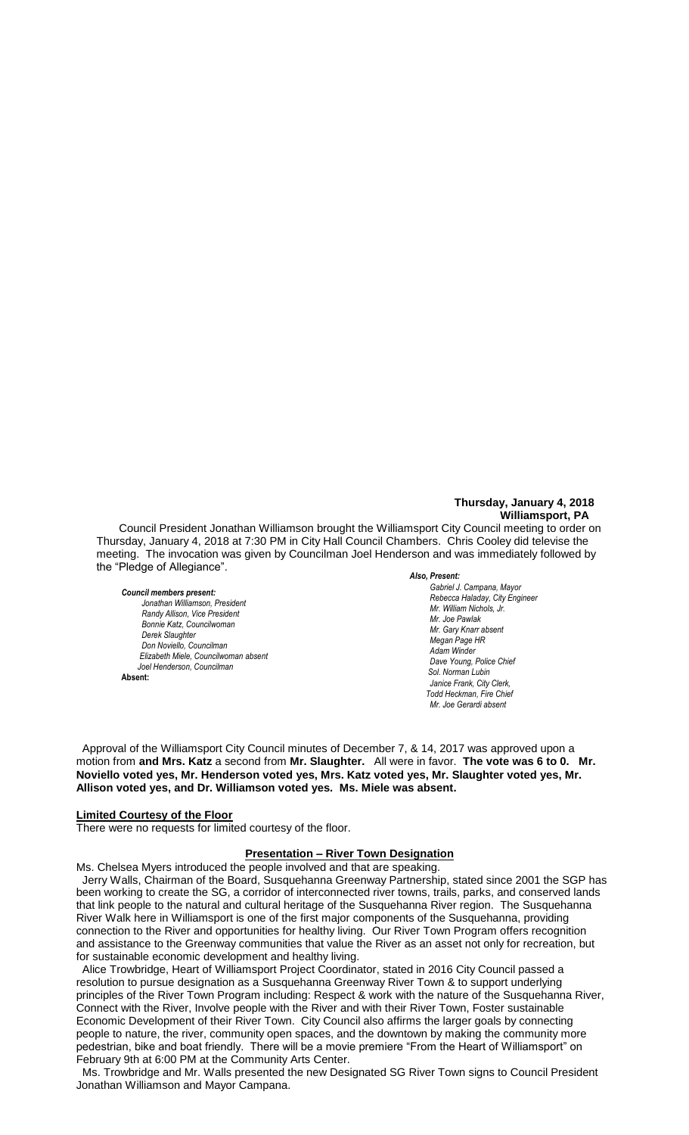# **Thursday, January 4, 2018 Williamsport, PA**

Council President Jonathan Williamson brought the Williamsport City Council meeting to order on Thursday, January 4, 2018 at 7:30 PM in City Hall Council Chambers. Chris Cooley did televise the meeting. The invocation was given by Councilman Joel Henderson and was immediately followed by the "Pledge of Allegiance".

#### *Council members present:*

*Jonathan Williamson, President*  $R$ andy Allison, Vice President *Bonnie Katz, Councilwoman Derek Slaughter Don Noviello, Councilman Elizabeth Miele, Councilwoman absent Joel Henderson, Councilman*  **Absent:**

#### *Also, Present:*

*Gabriel J. Campana, Mayor Rebecca Haladay, City Engineer Mr. Joe Gerardi Mr. Joseph Pawlak Mr. William Nichols, Jr. Mr. Joe Pawlak Mr. Gary Knarr absent Megan Page HR Adam Winder C. Dean Heinbach, Fire Chief*  $D$ ave Young, Police Chief  *Sol. Norman Lubin Janice Frank, City Clerk, Todd Heckman, Fire Chief Mr. Joe Gerardi absent Mr. Joseph Pawlak*

Approval of the Williamsport City Council minutes of December 7, & 14, 2017 was approved upon a motion from **and Mrs. Katz** a second from **Mr. Slaughter.** All were in favor. **The vote was 6 to 0. Mr.**  *Mr. Tom Cillo C. Dean Heinbach, Fire Chief* **Noviello voted yes, Mr. Henderson voted yes, Mrs. Katz voted yes, Mr. Slaughter voted yes, Mr.**  *Dave Young, Police Chief Chief Heinbach absent* Allison voted yes, and Dr. Williamson voted yes. Ms. Miele was absent. *y*es, ivir. Slaugrit

# **Limited Courtesy of the Floor**

There were no requests for limited courtesy of the floor.

### **Presentation – River Town Designation**

Ms. Chelsea Myers introduced the people involved and that are speaking.

 Jerry Walls, Chairman of the Board, Susquehanna Greenway Partnership, stated since 2001 the SGP has been working to create the SG, a corridor of interconnected river towns, trails, parks, and conserved lands been working to create the SG, a corridor of interconnected river towns, trails, parks, and conserved lands that link people to the natural and cultural heritage of the Susquehanna River region. The Susquehanna River Walk here in Williamsport is one of the first major components of the Susquehanna, providing connection to the River and opportunities for healthy living. Our River Town Program offers recognition and assistance to the Greenway communities that value the River as an asset not only for recreation, but for sustainable economic development and healthy living. *Members of the news media*

 Alice Trowbridge, Heart of Williamsport Project Coordinator, stated in 2016 City Council passed a resolution to pursue designation as a Susquehanna Greenway River Town & to support underlying principles of the River Town Program including: Respect & work with the nature of the Susquehanna River, Connect with the River, Involve people with the River and with their River Town, Foster sustainable Economic Development of their River Town. City Council also affirms the larger goals by connecting people to nature, the river, community open spaces, and the downtown by making the community more pedestrian, bike and boat friendly. There will be a movie premiere "From the Heart of Williamsport" on February 9th at 6:00 PM at the Community Arts Center.

 Ms. Trowbridge and Mr. Walls presented the new Designated SG River Town signs to Council President Jonathan Williamson and Mayor Campana.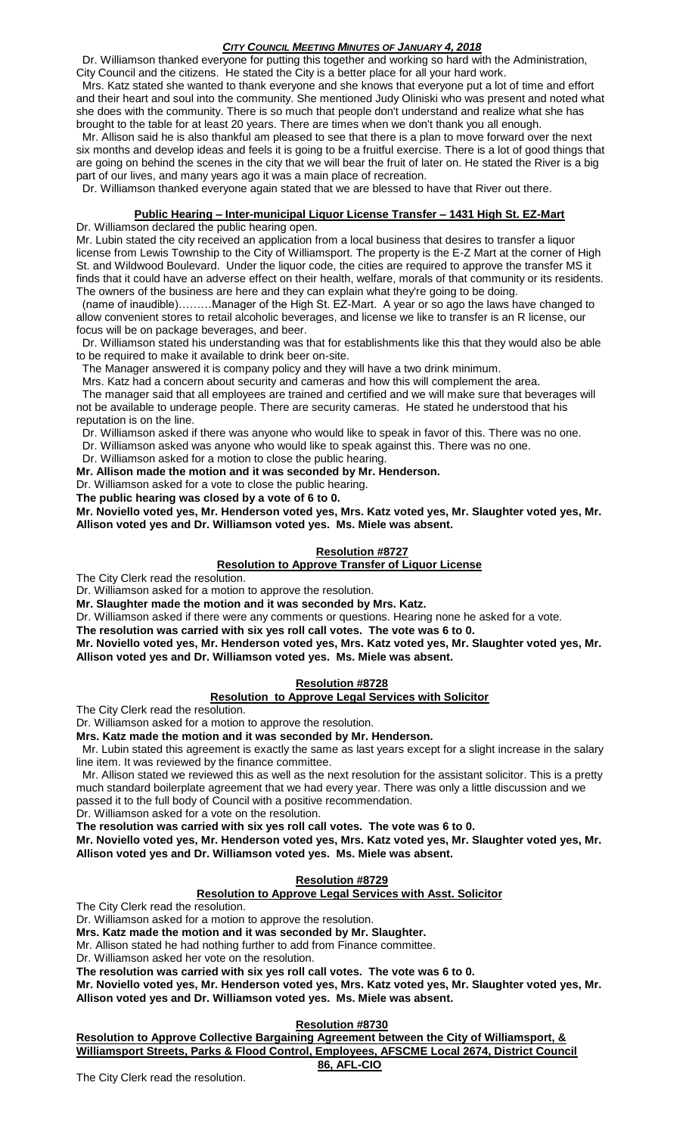Dr. Williamson thanked everyone for putting this together and working so hard with the Administration,

City Council and the citizens. He stated the City is a better place for all your hard work. Mrs. Katz stated she wanted to thank everyone and she knows that everyone put a lot of time and effort and their heart and soul into the community. She mentioned Judy Oliniski who was present and noted what she does with the community. There is so much that people don't understand and realize what she has brought to the table for at least 20 years. There are times when we don't thank you all enough.

 Mr. Allison said he is also thankful am pleased to see that there is a plan to move forward over the next six months and develop ideas and feels it is going to be a fruitful exercise. There is a lot of good things that are going on behind the scenes in the city that we will bear the fruit of later on. He stated the River is a big part of our lives, and many years ago it was a main place of recreation.

Dr. Williamson thanked everyone again stated that we are blessed to have that River out there.

# **Public Hearing – Inter-municipal Liquor License Transfer – 1431 High St. EZ-Mart**

#### Dr. Williamson declared the public hearing open.

Mr. Lubin stated the city received an application from a local business that desires to transfer a liquor license from Lewis Township to the City of Williamsport. The property is the E-Z Mart at the corner of High St. and Wildwood Boulevard. Under the liquor code, the cities are required to approve the transfer MS it finds that it could have an adverse effect on their health, welfare, morals of that community or its residents. The owners of the business are here and they can explain what they're going to be doing.

 (name of inaudible)………Manager of the High St. EZ-Mart. A year or so ago the laws have changed to allow convenient stores to retail alcoholic beverages, and license we like to transfer is an R license, our focus will be on package beverages, and beer.

 Dr. Williamson stated his understanding was that for establishments like this that they would also be able to be required to make it available to drink beer on-site.

The Manager answered it is company policy and they will have a two drink minimum.

Mrs. Katz had a concern about security and cameras and how this will complement the area.

 The manager said that all employees are trained and certified and we will make sure that beverages will not be available to underage people. There are security cameras. He stated he understood that his reputation is on the line.

Dr. Williamson asked if there was anyone who would like to speak in favor of this. There was no one.

Dr. Williamson asked was anyone who would like to speak against this. There was no one.

Dr. Williamson asked for a motion to close the public hearing.

**Mr. Allison made the motion and it was seconded by Mr. Henderson.**

Dr. Williamson asked for a vote to close the public hearing.

**The public hearing was closed by a vote of 6 to 0.**

**Mr. Noviello voted yes, Mr. Henderson voted yes, Mrs. Katz voted yes, Mr. Slaughter voted yes, Mr. Allison voted yes and Dr. Williamson voted yes. Ms. Miele was absent.**

# **Resolution #8727**

**Resolution to Approve Transfer of Liquor License**

The City Clerk read the resolution.

Dr. Williamson asked for a motion to approve the resolution.

**Mr. Slaughter made the motion and it was seconded by Mrs. Katz.**

Dr. Williamson asked if there were any comments or questions. Hearing none he asked for a vote.

**The resolution was carried with six yes roll call votes. The vote was 6 to 0.**

**Mr. Noviello voted yes, Mr. Henderson voted yes, Mrs. Katz voted yes, Mr. Slaughter voted yes, Mr. Allison voted yes and Dr. Williamson voted yes. Ms. Miele was absent.**

# **Resolution #8728**

# **Resolution to Approve Legal Services with Solicitor**

The City Clerk read the resolution.

Dr. Williamson asked for a motion to approve the resolution.

**Mrs. Katz made the motion and it was seconded by Mr. Henderson.**

 Mr. Lubin stated this agreement is exactly the same as last years except for a slight increase in the salary line item. It was reviewed by the finance committee.

 Mr. Allison stated we reviewed this as well as the next resolution for the assistant solicitor. This is a pretty much standard boilerplate agreement that we had every year. There was only a little discussion and we passed it to the full body of Council with a positive recommendation.

Dr. Williamson asked for a vote on the resolution.

**The resolution was carried with six yes roll call votes. The vote was 6 to 0.**

**Mr. Noviello voted yes, Mr. Henderson voted yes, Mrs. Katz voted yes, Mr. Slaughter voted yes, Mr. Allison voted yes and Dr. Williamson voted yes. Ms. Miele was absent.**

# **Resolution #8729**

# **Resolution to Approve Legal Services with Asst. Solicitor**

The City Clerk read the resolution.

Dr. Williamson asked for a motion to approve the resolution.

**Mrs. Katz made the motion and it was seconded by Mr. Slaughter.**

Mr. Allison stated he had nothing further to add from Finance committee.

Dr. Williamson asked her vote on the resolution.

**The resolution was carried with six yes roll call votes. The vote was 6 to 0.**

**Mr. Noviello voted yes, Mr. Henderson voted yes, Mrs. Katz voted yes, Mr. Slaughter voted yes, Mr. Allison voted yes and Dr. Williamson voted yes. Ms. Miele was absent.**

# **Resolution #8730**

**Resolution to Approve Collective Bargaining Agreement between the City of Williamsport, & Williamsport Streets, Parks & Flood Control, Employees, AFSCME Local 2674, District Council** 

# **86, AFL-CIO**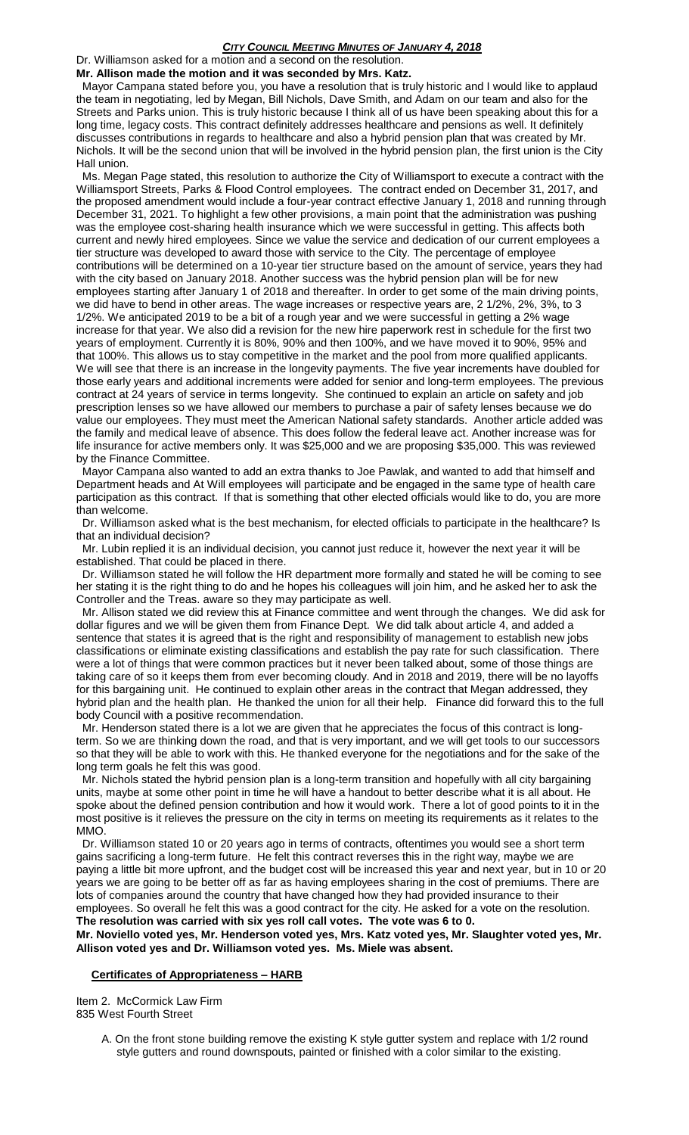Dr. Williamson asked for a motion and a second on the resolution.

**Mr. Allison made the motion and it was seconded by Mrs. Katz.** Mayor Campana stated before you, you have a resolution that is truly historic and I would like to applaud the team in negotiating, led by Megan, Bill Nichols, Dave Smith, and Adam on our team and also for the Streets and Parks union. This is truly historic because I think all of us have been speaking about this for a long time, legacy costs. This contract definitely addresses healthcare and pensions as well. It definitely discusses contributions in regards to healthcare and also a hybrid pension plan that was created by Mr. Nichols. It will be the second union that will be involved in the hybrid pension plan, the first union is the City

Hall union. Ms. Megan Page stated, this resolution to authorize the City of Williamsport to execute a contract with the Williamsport Streets, Parks & Flood Control employees. The contract ended on December 31, 2017, and the proposed amendment would include a four-year contract effective January 1, 2018 and running through December 31, 2021. To highlight a few other provisions, a main point that the administration was pushing was the employee cost-sharing health insurance which we were successful in getting. This affects both current and newly hired employees. Since we value the service and dedication of our current employees a tier structure was developed to award those with service to the City. The percentage of employee contributions will be determined on a 10-year tier structure based on the amount of service, years they had with the city based on January 2018. Another success was the hybrid pension plan will be for new employees starting after January 1 of 2018 and thereafter. In order to get some of the main driving points, we did have to bend in other areas. The wage increases or respective years are, 2 1/2%, 2%, 3%, to 3 1/2%. We anticipated 2019 to be a bit of a rough year and we were successful in getting a 2% wage increase for that year. We also did a revision for the new hire paperwork rest in schedule for the first two years of employment. Currently it is 80%, 90% and then 100%, and we have moved it to 90%, 95% and that 100%. This allows us to stay competitive in the market and the pool from more qualified applicants. We will see that there is an increase in the longevity payments. The five year increments have doubled for those early years and additional increments were added for senior and long-term employees. The previous contract at 24 years of service in terms longevity. She continued to explain an article on safety and job prescription lenses so we have allowed our members to purchase a pair of safety lenses because we do value our employees. They must meet the American National safety standards. Another article added was the family and medical leave of absence. This does follow the federal leave act. Another increase was for life insurance for active members only. It was \$25,000 and we are proposing \$35,000. This was reviewed by the Finance Committee.

 Mayor Campana also wanted to add an extra thanks to Joe Pawlak, and wanted to add that himself and Department heads and At Will employees will participate and be engaged in the same type of health care participation as this contract. If that is something that other elected officials would like to do, you are more than welcome.

 Dr. Williamson asked what is the best mechanism, for elected officials to participate in the healthcare? Is that an individual decision?

 Mr. Lubin replied it is an individual decision, you cannot just reduce it, however the next year it will be established. That could be placed in there.

 Dr. Williamson stated he will follow the HR department more formally and stated he will be coming to see her stating it is the right thing to do and he hopes his colleagues will join him, and he asked her to ask the Controller and the Treas. aware so they may participate as well.

 Mr. Allison stated we did review this at Finance committee and went through the changes. We did ask for dollar figures and we will be given them from Finance Dept. We did talk about article 4, and added a sentence that states it is agreed that is the right and responsibility of management to establish new jobs classifications or eliminate existing classifications and establish the pay rate for such classification. There were a lot of things that were common practices but it never been talked about, some of those things are taking care of so it keeps them from ever becoming cloudy. And in 2018 and 2019, there will be no layoffs for this bargaining unit. He continued to explain other areas in the contract that Megan addressed, they hybrid plan and the health plan. He thanked the union for all their help. Finance did forward this to the full body Council with a positive recommendation.

 Mr. Henderson stated there is a lot we are given that he appreciates the focus of this contract is longterm. So we are thinking down the road, and that is very important, and we will get tools to our successors so that they will be able to work with this. He thanked everyone for the negotiations and for the sake of the long term goals he felt this was good.

 Mr. Nichols stated the hybrid pension plan is a long-term transition and hopefully with all city bargaining units, maybe at some other point in time he will have a handout to better describe what it is all about. He spoke about the defined pension contribution and how it would work. There a lot of good points to it in the most positive is it relieves the pressure on the city in terms on meeting its requirements as it relates to the MMO.

 Dr. Williamson stated 10 or 20 years ago in terms of contracts, oftentimes you would see a short term gains sacrificing a long-term future. He felt this contract reverses this in the right way, maybe we are paying a little bit more upfront, and the budget cost will be increased this year and next year, but in 10 or 20 years we are going to be better off as far as having employees sharing in the cost of premiums. There are lots of companies around the country that have changed how they had provided insurance to their employees. So overall he felt this was a good contract for the city. He asked for a vote on the resolution. **The resolution was carried with six yes roll call votes. The vote was 6 to 0.**

**Mr. Noviello voted yes, Mr. Henderson voted yes, Mrs. Katz voted yes, Mr. Slaughter voted yes, Mr. Allison voted yes and Dr. Williamson voted yes. Ms. Miele was absent.**

#### **Certificates of Appropriateness – HARB**

Item 2. McCormick Law Firm 835 West Fourth Street

> A. On the front stone building remove the existing K style gutter system and replace with 1/2 round style gutters and round downspouts, painted or finished with a color similar to the existing.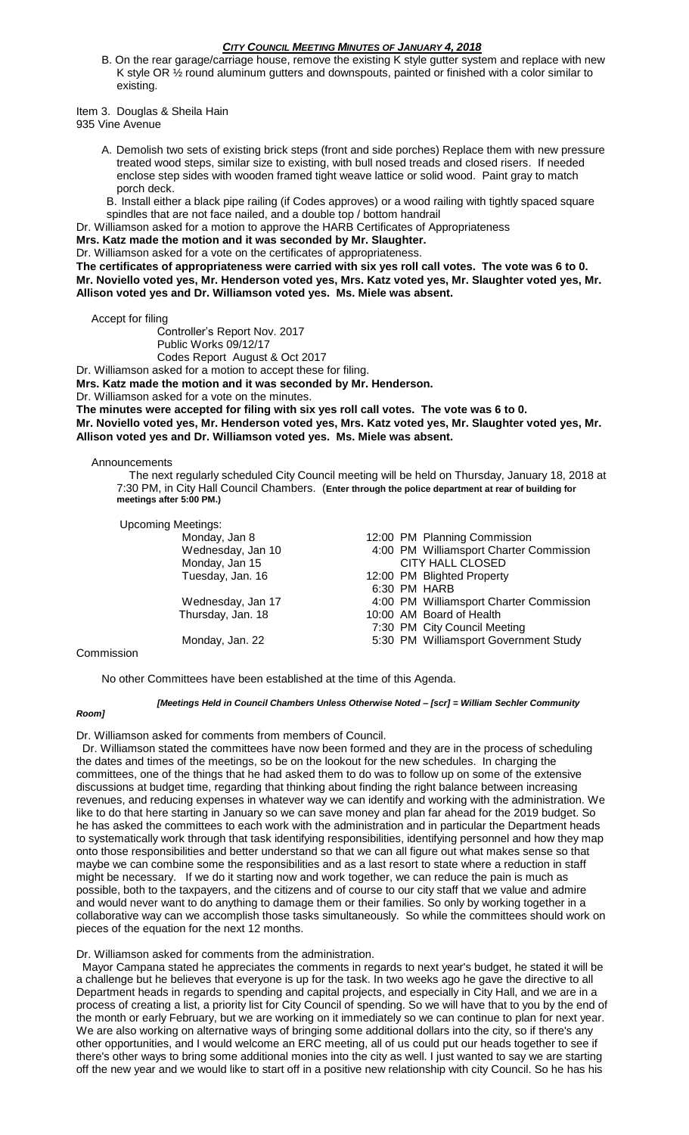B. On the rear garage/carriage house, remove the existing K style gutter system and replace with new K style OR ½ round aluminum gutters and downspouts, painted or finished with a color similar to existing.

Item 3. Douglas & Sheila Hain

935 Vine Avenue

- A. Demolish two sets of existing brick steps (front and side porches) Replace them with new pressure treated wood steps, similar size to existing, with bull nosed treads and closed risers. If needed enclose step sides with wooden framed tight weave lattice or solid wood. Paint gray to match porch deck.
- B. Install either a black pipe railing (if Codes approves) or a wood railing with tightly spaced square spindles that are not face nailed, and a double top / bottom handrail
- Dr. Williamson asked for a motion to approve the HARB Certificates of Appropriateness

**Mrs. Katz made the motion and it was seconded by Mr. Slaughter.**

Dr. Williamson asked for a vote on the certificates of appropriateness.

**The certificates of appropriateness were carried with six yes roll call votes. The vote was 6 to 0. Mr. Noviello voted yes, Mr. Henderson voted yes, Mrs. Katz voted yes, Mr. Slaughter voted yes, Mr. Allison voted yes and Dr. Williamson voted yes. Ms. Miele was absent.**

Accept for filing

Controller's Report Nov. 2017 Public Works 09/12/17 Codes Report August & Oct 2017

Dr. Williamson asked for a motion to accept these for filing.

**Mrs. Katz made the motion and it was seconded by Mr. Henderson.**

Dr. Williamson asked for a vote on the minutes.

**The minutes were accepted for filing with six yes roll call votes. The vote was 6 to 0. Mr. Noviello voted yes, Mr. Henderson voted yes, Mrs. Katz voted yes, Mr. Slaughter voted yes, Mr.** 

**Allison voted yes and Dr. Williamson voted yes. Ms. Miele was absent.**

### Announcements

 The next regularly scheduled City Council meeting will be held on Thursday, January 18, 2018 at 7:30 PM, in City Hall Council Chambers. (**Enter through the police department at rear of building for meetings after 5:00 PM.)**

| <b>Upcoming Meetings:</b> |                                         |
|---------------------------|-----------------------------------------|
| Monday, Jan 8             | 12:00 PM Planning Commission            |
| Wednesday, Jan 10         | 4:00 PM Williamsport Charter Commission |
| Monday, Jan 15            | <b>CITY HALL CLOSED</b>                 |
| Tuesday, Jan. 16          | 12:00 PM Blighted Property              |
|                           | 6:30 PM HARB                            |
| Wednesday, Jan 17         | 4:00 PM Williamsport Charter Commission |
| Thursday, Jan. 18         | 10:00 AM Board of Health                |
|                           | 7:30 PM City Council Meeting            |
| Monday, Jan. 22           | 5:30 PM Williamsport Government Study   |
|                           |                                         |

#### Commission

No other Committees have been established at the time of this Agenda.

#### *[Meetings Held in Council Chambers Unless Otherwise Noted – [scr] = William Sechler Community*

#### *Room]*

Dr. Williamson asked for comments from members of Council.

 Dr. Williamson stated the committees have now been formed and they are in the process of scheduling the dates and times of the meetings, so be on the lookout for the new schedules. In charging the committees, one of the things that he had asked them to do was to follow up on some of the extensive discussions at budget time, regarding that thinking about finding the right balance between increasing revenues, and reducing expenses in whatever way we can identify and working with the administration. We like to do that here starting in January so we can save money and plan far ahead for the 2019 budget. So he has asked the committees to each work with the administration and in particular the Department heads to systematically work through that task identifying responsibilities, identifying personnel and how they map onto those responsibilities and better understand so that we can all figure out what makes sense so that maybe we can combine some the responsibilities and as a last resort to state where a reduction in staff might be necessary. If we do it starting now and work together, we can reduce the pain is much as possible, both to the taxpayers, and the citizens and of course to our city staff that we value and admire and would never want to do anything to damage them or their families. So only by working together in a collaborative way can we accomplish those tasks simultaneously. So while the committees should work on pieces of the equation for the next 12 months.

Dr. Williamson asked for comments from the administration.

 Mayor Campana stated he appreciates the comments in regards to next year's budget, he stated it will be a challenge but he believes that everyone is up for the task. In two weeks ago he gave the directive to all Department heads in regards to spending and capital projects, and especially in City Hall, and we are in a process of creating a list, a priority list for City Council of spending. So we will have that to you by the end of the month or early February, but we are working on it immediately so we can continue to plan for next year. We are also working on alternative ways of bringing some additional dollars into the city, so if there's any other opportunities, and I would welcome an ERC meeting, all of us could put our heads together to see if there's other ways to bring some additional monies into the city as well. I just wanted to say we are starting off the new year and we would like to start off in a positive new relationship with city Council. So he has his